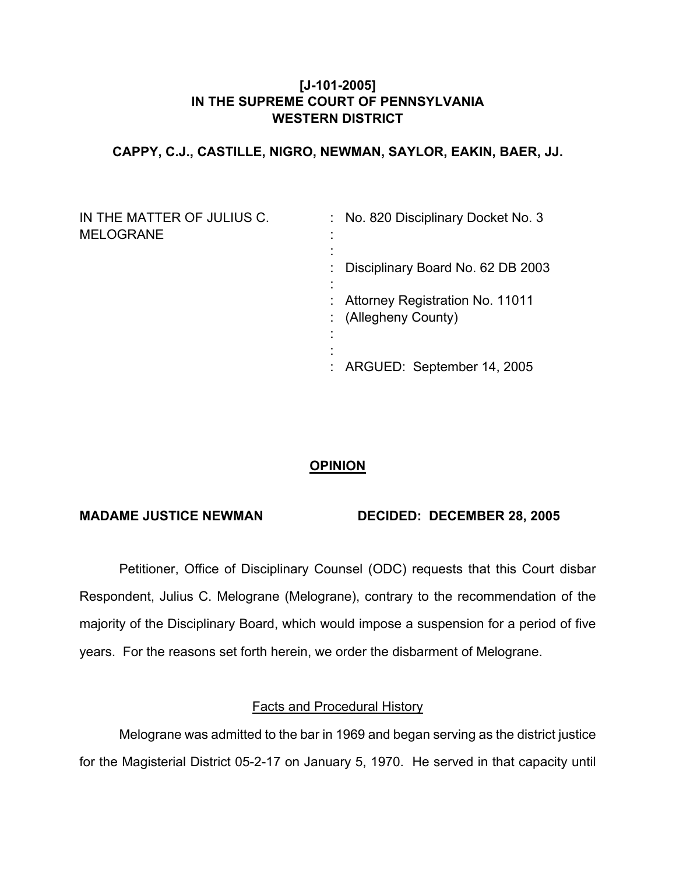## **[J-101-2005] IN THE SUPREME COURT OF PENNSYLVANIA WESTERN DISTRICT**

## **CAPPY, C.J., CASTILLE, NIGRO, NEWMAN, SAYLOR, EAKIN, BAER, JJ.**

| IN THE MATTER OF JULIUS C.<br><b>MELOGRANE</b> | : No. 820 Disciplinary Docket No. 3                     |
|------------------------------------------------|---------------------------------------------------------|
|                                                | : Disciplinary Board No. 62 DB 2003                     |
|                                                | : Attorney Registration No. 11011<br>(Allegheny County) |
|                                                | : ARGUED: September 14, 2005                            |

# **OPINION**

### **MADAME JUSTICE NEWMAN DECIDED: DECEMBER 28, 2005**

 Petitioner, Office of Disciplinary Counsel (ODC) requests that this Court disbar Respondent, Julius C. Melograne (Melograne), contrary to the recommendation of the majority of the Disciplinary Board, which would impose a suspension for a period of five years. For the reasons set forth herein, we order the disbarment of Melograne.

## Facts and Procedural History

 Melograne was admitted to the bar in 1969 and began serving as the district justice for the Magisterial District 05-2-17 on January 5, 1970. He served in that capacity until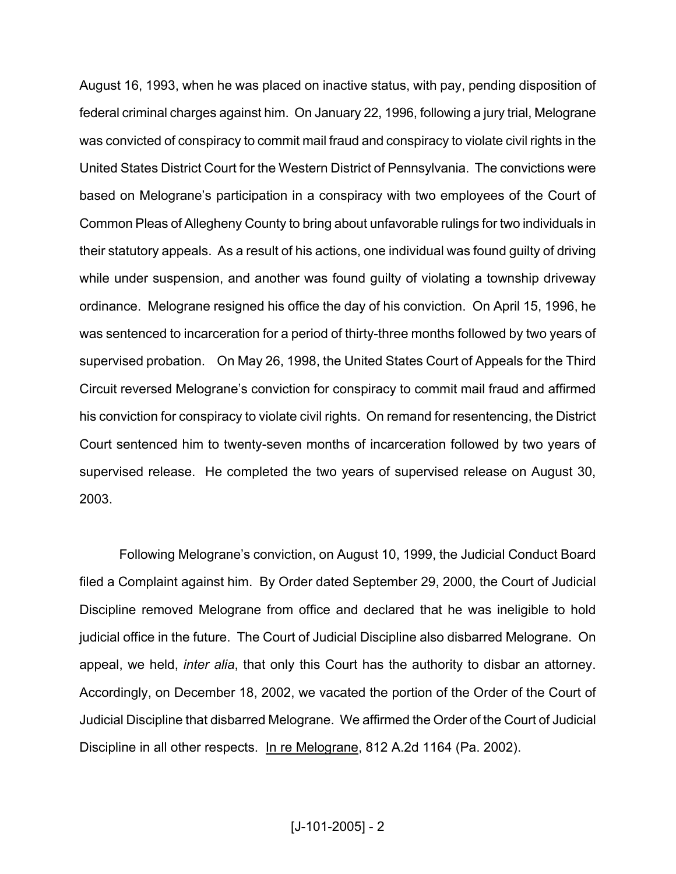August 16, 1993, when he was placed on inactive status, with pay, pending disposition of federal criminal charges against him. On January 22, 1996, following a jury trial, Melograne was convicted of conspiracy to commit mail fraud and conspiracy to violate civil rights in the United States District Court for the Western District of Pennsylvania. The convictions were based on Melograne's participation in a conspiracy with two employees of the Court of Common Pleas of Allegheny County to bring about unfavorable rulings for two individuals in their statutory appeals. As a result of his actions, one individual was found guilty of driving while under suspension, and another was found guilty of violating a township driveway ordinance. Melograne resigned his office the day of his conviction. On April 15, 1996, he was sentenced to incarceration for a period of thirty-three months followed by two years of supervised probation. On May 26, 1998, the United States Court of Appeals for the Third Circuit reversed Melograne's conviction for conspiracy to commit mail fraud and affirmed his conviction for conspiracy to violate civil rights. On remand for resentencing, the District Court sentenced him to twenty-seven months of incarceration followed by two years of supervised release. He completed the two years of supervised release on August 30, 2003.

 Following Melograne's conviction, on August 10, 1999, the Judicial Conduct Board filed a Complaint against him. By Order dated September 29, 2000, the Court of Judicial Discipline removed Melograne from office and declared that he was ineligible to hold judicial office in the future. The Court of Judicial Discipline also disbarred Melograne. On appeal, we held, *inter alia*, that only this Court has the authority to disbar an attorney. Accordingly, on December 18, 2002, we vacated the portion of the Order of the Court of Judicial Discipline that disbarred Melograne. We affirmed the Order of the Court of Judicial Discipline in all other respects. In re Melograne, 812 A.2d 1164 (Pa. 2002).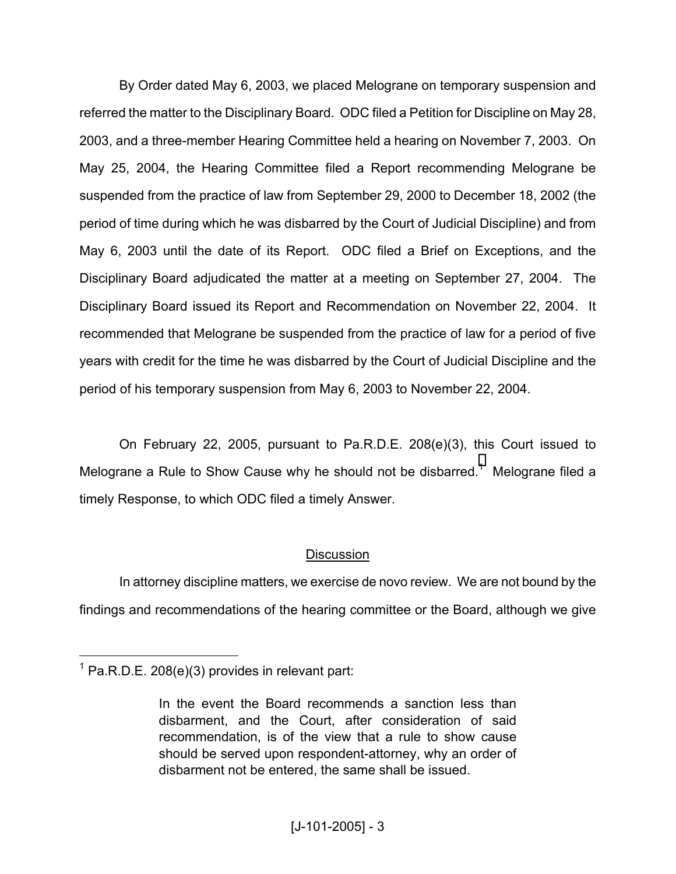By Order dated May 6, 2003, we placed Melograne on temporary suspension and referred the matter to the Disciplinary Board. ODC filed a Petition for Discipline on May 28, 2003, and a three-member Hearing Committee held a hearing on November 7, 2003. On May 25, 2004, the Hearing Committee filed a Report recommending Melograne be suspended from the practice of law from September 29, 2000 to December 18, 2002 (the period of time during which he was disbarred by the Court of Judicial Discipline) and from May 6, 2003 until the date of its Report. ODC filed a Brief on Exceptions, and the Disciplinary Board adjudicated the matter at a meeting on September 27, 2004. The Disciplinary Board issued its Report and Recommendation on November 22, 2004. It recommended that Melograne be suspended from the practice of law for a period of five years with credit for the time he was disbarred by the Court of Judicial Discipline and the period of his temporary suspension from May 6, 2003 to November 22, 2004.

 On February 22, 2005, pursuant to Pa.R.D.E. 208(e)(3), this Court issued to Melograne a Rule to Show Cause why he should not be disbarred.<sup>[1](#page-2-0)</sup> Melograne filed a timely Response, to which ODC filed a timely Answer.

## **Discussion**

 In attorney discipline matters, we exercise de novo review. We are not bound by the findings and recommendations of the hearing committee or the Board, although we give

 $\overline{a}$ 

<span id="page-2-0"></span> $1$  Pa.R.D.E. 208(e)(3) provides in relevant part:

In the event the Board recommends a sanction less than disbarment, and the Court, after consideration of said recommendation, is of the view that a rule to show cause should be served upon respondent-attorney, why an order of disbarment not be entered, the same shall be issued.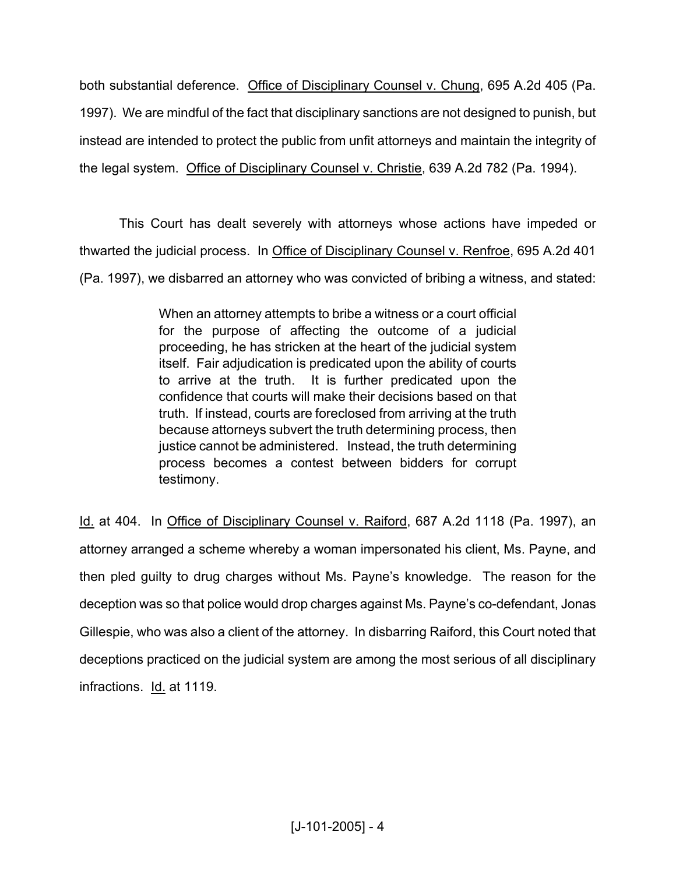both substantial deference. Office of Disciplinary Counsel v. Chung, 695 A.2d 405 (Pa. 1997). We are mindful of the fact that disciplinary sanctions are not designed to punish, but instead are intended to protect the public from unfit attorneys and maintain the integrity of the legal system. Office of Disciplinary Counsel v. Christie, 639 A.2d 782 (Pa. 1994).

 This Court has dealt severely with attorneys whose actions have impeded or thwarted the judicial process. In Office of Disciplinary Counsel v. Renfroe, 695 A.2d 401 (Pa. 1997), we disbarred an attorney who was convicted of bribing a witness, and stated:

> When an attorney attempts to bribe a witness or a court official for the purpose of affecting the outcome of a judicial proceeding, he has stricken at the heart of the judicial system itself. Fair adjudication is predicated upon the ability of courts to arrive at the truth. It is further predicated upon the confidence that courts will make their decisions based on that truth. If instead, courts are foreclosed from arriving at the truth because attorneys subvert the truth determining process, then justice cannot be administered. Instead, the truth determining process becomes a contest between bidders for corrupt testimony.

Id. at 404. In Office of Disciplinary Counsel v. Raiford, 687 A.2d 1118 (Pa. 1997), an attorney arranged a scheme whereby a woman impersonated his client, Ms. Payne, and then pled guilty to drug charges without Ms. Payne's knowledge. The reason for the deception was so that police would drop charges against Ms. Payne's co-defendant, Jonas Gillespie, who was also a client of the attorney. In disbarring Raiford, this Court noted that deceptions practiced on the judicial system are among the most serious of all disciplinary infractions. Id. at 1119.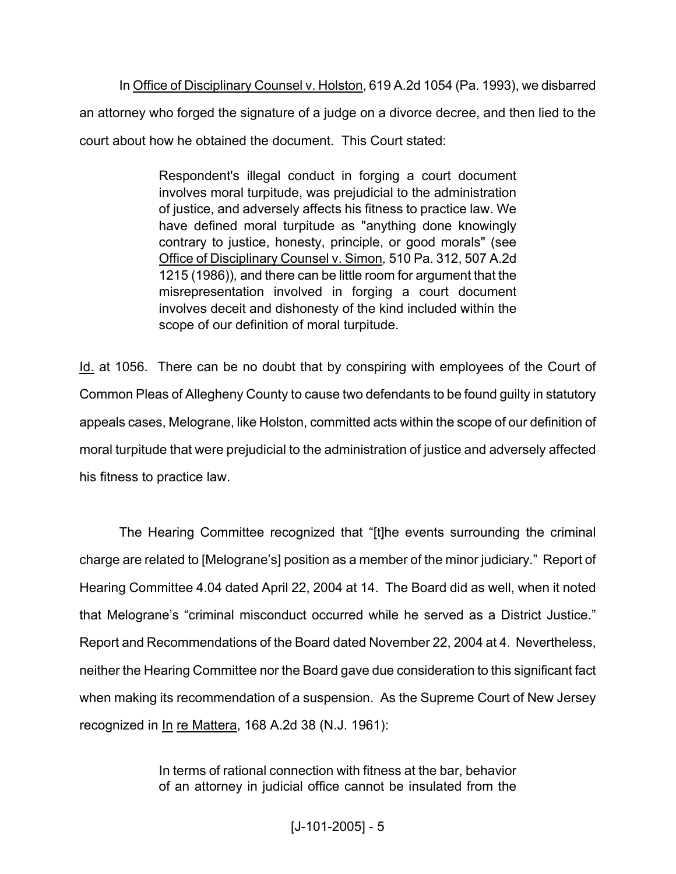In Office of Disciplinary Counsel v. Holston, 619 A.2d 1054 (Pa. 1993), we disbarred an attorney who forged the signature of a judge on a divorce decree, and then lied to the court about how he obtained the document. This Court stated:

> Respondent's illegal conduct in forging a court document involves moral turpitude, was prejudicial to the administration of justice, and adversely affects his fitness to practice law. We have defined moral turpitude as "anything done knowingly contrary to justice, honesty, principle, or good morals" (see Office of Disciplinary Counsel v. Simon*,* 510 Pa. 312, 507 A.2d 1215 (1986))*,* and there can be little room for argument that the misrepresentation involved in forging a court document involves deceit and dishonesty of the kind included within the scope of our definition of moral turpitude.

Id. at 1056. There can be no doubt that by conspiring with employees of the Court of Common Pleas of Allegheny County to cause two defendants to be found guilty in statutory appeals cases, Melograne, like Holston, committed acts within the scope of our definition of moral turpitude that were prejudicial to the administration of justice and adversely affected his fitness to practice law.

 The Hearing Committee recognized that "[t]he events surrounding the criminal charge are related to [Melograne's] position as a member of the minor judiciary." Report of Hearing Committee 4.04 dated April 22, 2004 at 14. The Board did as well, when it noted that Melograne's "criminal misconduct occurred while he served as a District Justice." Report and Recommendations of the Board dated November 22, 2004 at 4. Nevertheless, neither the Hearing Committee nor the Board gave due consideration to this significant fact when making its recommendation of a suspension. As the Supreme Court of New Jersey recognized in In re Mattera, 168 A.2d 38 (N.J. 1961):

> In terms of rational connection with fitness at the bar, behavior of an attorney in judicial office cannot be insulated from the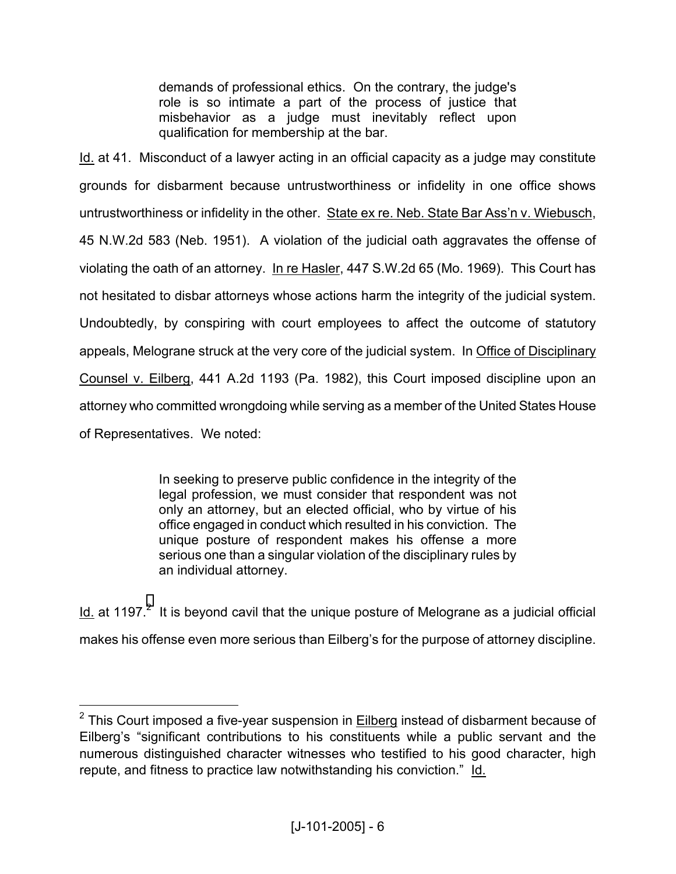demands of professional ethics. On the contrary, the judge's role is so intimate a part of the process of justice that misbehavior as a judge must inevitably reflect upon qualification for membership at the bar.

Id. at 41. Misconduct of a lawyer acting in an official capacity as a judge may constitute grounds for disbarment because untrustworthiness or infidelity in one office shows untrustworthiness or infidelity in the other. State ex re. Neb. State Bar Ass'n v. Wiebusch, 45 N.W.2d 583 (Neb. 1951). A violation of the judicial oath aggravates the offense of violating the oath of an attorney. In re Hasler, 447 S.W.2d 65 (Mo. 1969). This Court has not hesitated to disbar attorneys whose actions harm the integrity of the judicial system. Undoubtedly, by conspiring with court employees to affect the outcome of statutory appeals, Melograne struck at the very core of the judicial system. In Office of Disciplinary Counsel v. Eilberg, 441 A.2d 1193 (Pa. 1982), this Court imposed discipline upon an attorney who committed wrongdoing while serving as a member of the United States House of Representatives. We noted:

> In seeking to preserve public confidence in the integrity of the legal profession, we must consider that respondent was not only an attorney, but an elected official, who by virtue of his office engaged in conduct which resulted in his conviction. The unique posture of respondent makes his offense a more serious one than a singular violation of the disciplinary rules by an individual attorney.

 $\underline{\mathsf{Id}}$  at 1197.<sup>[2](#page-5-0)</sup> It is beyond cavil that the unique posture of Melograne as a judicial official makes his offense even more serious than Eilberg's for the purpose of attorney discipline.

 $\overline{a}$ 

<span id="page-5-0"></span> $2$  This Court imposed a five-year suspension in  $Eilberg$  instead of disbarment because of Eilberg's "significant contributions to his constituents while a public servant and the numerous distinguished character witnesses who testified to his good character, high repute, and fitness to practice law notwithstanding his conviction." Id.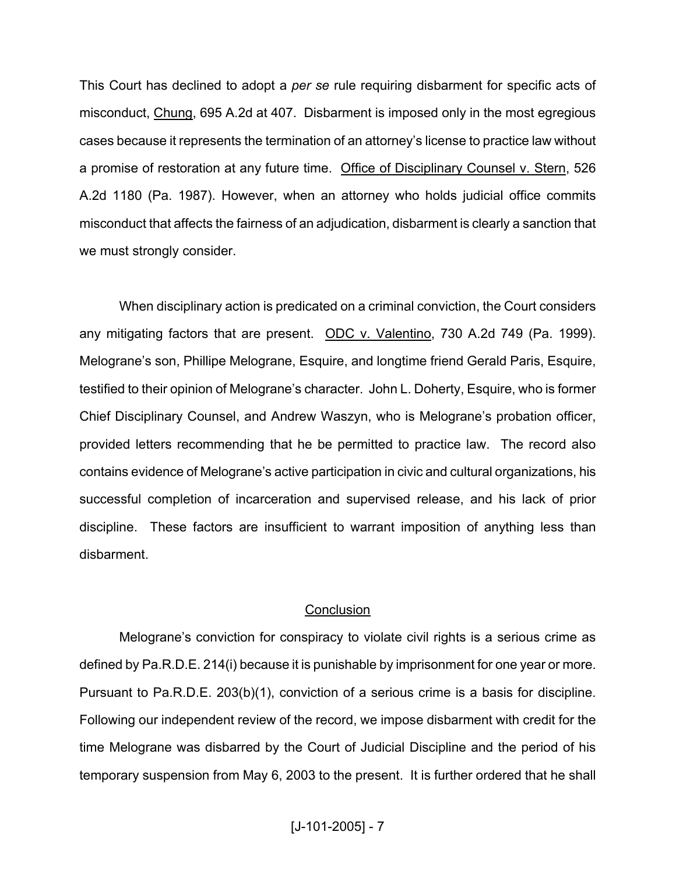This Court has declined to adopt a *per se* rule requiring disbarment for specific acts of misconduct, Chung, 695 A.2d at 407. Disbarment is imposed only in the most egregious cases because it represents the termination of an attorney's license to practice law without a promise of restoration at any future time. Office of Disciplinary Counsel v. Stern, 526 A.2d 1180 (Pa. 1987). However, when an attorney who holds judicial office commits misconduct that affects the fairness of an adjudication, disbarment is clearly a sanction that we must strongly consider.

 When disciplinary action is predicated on a criminal conviction, the Court considers any mitigating factors that are present. ODC v. Valentino, 730 A.2d 749 (Pa. 1999). Melograne's son, Phillipe Melograne, Esquire, and longtime friend Gerald Paris, Esquire, testified to their opinion of Melograne's character. John L. Doherty, Esquire, who is former Chief Disciplinary Counsel, and Andrew Waszyn, who is Melograne's probation officer, provided letters recommending that he be permitted to practice law. The record also contains evidence of Melograne's active participation in civic and cultural organizations, his successful completion of incarceration and supervised release, and his lack of prior discipline. These factors are insufficient to warrant imposition of anything less than disbarment.

### **Conclusion**

 Melograne's conviction for conspiracy to violate civil rights is a serious crime as defined by Pa.R.D.E. 214(i) because it is punishable by imprisonment for one year or more. Pursuant to Pa.R.D.E. 203(b)(1), conviction of a serious crime is a basis for discipline. Following our independent review of the record, we impose disbarment with credit for the time Melograne was disbarred by the Court of Judicial Discipline and the period of his temporary suspension from May 6, 2003 to the present. It is further ordered that he shall